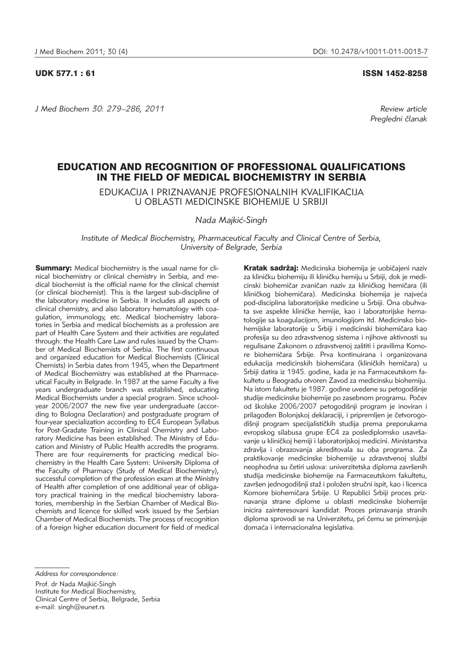*J Med Biochem 30: 279–286, 2011 Review article*

UDK 577.1 : 61 ISSN 1452-8258

*Pregledni ~lanak*

# EDUCATION AND RECOGNITION OF PROFESSIONAL QUALIFICATIONS IN THE FIELD OF MEDICAL BIOCHEMISTRY IN SERBIA

EDUKACIJA I PRIZNAVANJE PROFESIONALNIH KVALIFIKACIJA U OBLASTI MEDICINSKE BIOHEMIJE U SRBIJI

*Nada Majki}-Singh*

*Institute of Medical Biochemistry, Pharmaceutical Faculty and Clinical Centre of Serbia, University of Belgrade, Serbia*

**Summary:** Medical biochemistry is the usual name for clinical biochemistry or clinical chemistry in Serbia, and medical biochemist is the official name for the clinical chemist (or clinical biochemist). This is the largest sub-discipline of the laboratory medicine in Serbia. It includes all aspects of clinical chemistry, and also laboratory hematology with coagulation, immunology, etc. Medical biochemistry laboratories in Serbia and medical biochemists as a profession are part of Health Care System and their activities are regulated through: the Health Care Law and rules issued by the Chamber of Medical Biochemists of Serbia. The first continuous and organized education for Medical Biochemists (Clinical Chemists) in Serbia dates from 1945, when the Department of Medical Biochemistry was established at the Pharmaceutical Faculty in Belgrade. In 1987 at the same Faculty a five years undergraduate branch was established, educating Medical Biochemists under a special program. Since schoolyear 2006/2007 the new five year undergraduate (according to Bologna Declaration) and postgraduate program of four-year specialization according to EC4 European Syllabus for Post-Gradate Training in Clinical Chemistry and Laboratory Medicine has been established. The Ministry of Education and Ministry of Public Health accredits the programs. There are four requirements for practicing medical biochemistry in the Health Care System: University Diploma of the Faculty of Pharmacy (Study of Medical Biochemistry), successful completion of the profession exam at the Ministry of Health after completion of one additional year of obligatory practical training in the medical biochemistry laboratories, membership in the Serbian Chamber of Medical Biochemists and licence for skilled work issued by the Serbian Chamber of Medical Biochemists. The process of recognition of a foreign higher education document for field of medical

Kratak sadržaj: Medicinska biohemija je uobičajeni naziv za kliničku biohemiju ili kliničku hemiju u Srbiji, dok je medicinski biohemičar zvaničan naziv za kliničkog hemičara (ili kliničkog biohemičara). Medicinska biohemija je najveća pod-disciplina laboratorijske medicine u Srbiji. Ona obuhvata sve aspekte kliničke hemije, kao i laboratorijske hematologije sa koagulacijom, imunologijom itd. Medicinsko biohemijske laboratorije u Srbiji i medicinski biohemičara kao profesija su deo zdravstvenog sistema i njihove aktivnosti su regulisane Zakonom o zdravstvenoj zaštiti i pravilima Komore biohemičara Srbije. Prva kontinuirana i organizovana edukacija medicinskih biohemičara (kliničkih hemičara) u Srbiji datira iz 1945. godine, kada je na Farmaceutskom fakultetu u Beogradu otvoren Zavod za medicinsku biohemiju. Na istom fakultetu je 1987. godine uvedene su petogodišnje studije medicinske biohemije po zasebnom programu. Počev od školske 2006/2007 petogodišnji program je inoviran i prilagođen Bolonjskoj deklaraciji, i pripremljen je četvorogodišnji program specijalističkih studija prema preporukama evropskog silabusa grupe EC4 za poslediplomsko usavršavanje u kliničkoj hemiji i laboratorijskoj medicini. Ministarstva zdravlja i obrazovanja akreditovala su oba programa. Za praktikovanje medicinske biohemije u zdravstvenoj službi neophodna su četiri uslova: univerzitetska diploma završenih studija medicinske biohemije na Farmaceutskom fakultetu, završen jednogodišnji staž i položen stručni ispit, kao i licenca Komore biohemičara Srbije. U Republici Srbiji proces priznavanja strane diplome u oblasti medicinske biohemije inicira zainteresovani kandidat. Proces priznavanja stranih diploma sprovodi se na Univerzitetu, pri čemu se primenjuje domaća i internacionalna legislativa.

*Address for correspondence:* Prof. dr Nada Majkić-Singh Institute for Medical Biochemistry, Clinical Centre of Serbia, Belgrade, Serbia e-mail: singh@eunet.rs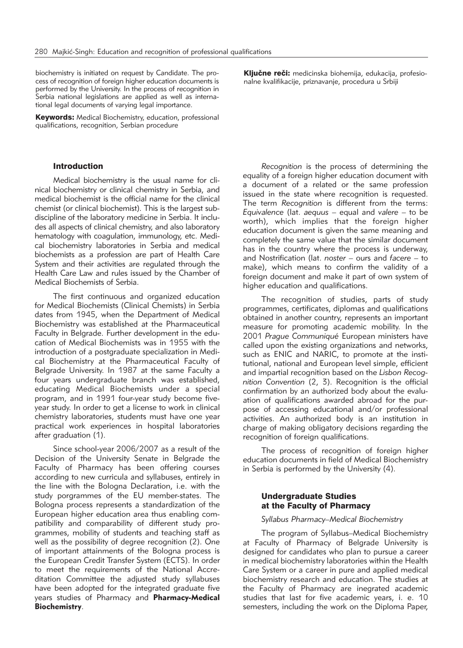biochemistry is initiated on request by Candidate. The process of recognition of foreign higher education documents is performed by the University. In the process of recognition in Serbia national legislations are applied as well as international legal documents of varying legal importance.

Keywords: Medical Biochemistry, education, professional qualifications, recognition, Serbian procedure

# Introduction

Medical biochemistry is the usual name for clinical biochemistry or clinical chemistry in Serbia, and medical biochemist is the official name for the clinical chemist (or clinical biochemist). This is the largest subdiscipline of the laboratory medicine in Serbia. It includes all aspects of clinical chemistry, and also laboratory hematology with coagulation, immunology, etc. Medical biochemistry laboratories in Serbia and medical biochemists as a profession are part of Health Care System and their activities are regulated through the Health Care Law and rules issued by the Chamber of Medical Biochemists of Serbia.

The first continuous and organized education for Medical Biochemists (Clinical Chemists) in Serbia dates from 1945, when the Department of Medical Biochemistry was established at the Pharmaceutical Faculty in Belgrade. Further development in the education of Medical Biochemists was in 1955 with the introduction of a postgraduate specialization in Medical Biochemistry at the Pharmaceutical Faculty of Belgrade University. In 1987 at the same Faculty a four years undergraduate branch was established, educating Medical Biochemists under a special program, and in 1991 four-year study become fiveyear study. In order to get a license to work in clinical chemistry laboratories, students must have one year practical work experiences in hospital laboratories after graduation (1).

Since school-year 2006/2007 as a result of the Decision of the University Senate in Belgrade the Faculty of Pharmacy has been offering courses according to new curricula and syllabuses, entirely in the line with the Bologna Declaration, i.e. with the study porgrammes of the EU member-states. The Bologna process represents a standardization of the European higher education area thus enabling compatibility and comparability of different study programmes, mobility of students and teaching staff as well as the possibility of degree recognition (2). One of important attainments of the Bologna process is the European Credit Transfer System (ECTS). In order to meet the requirements of the National Accreditation Committee the adjusted study syllabuses have been adopted for the integrated graduate five years studies of Pharmacy and **Pharmacy-Medical Biochemistry**.

Ključne reči: medicinska biohemija, edukacija, profesionalne kvalifikacije, priznavanje, procedura u Srbiji

*Recognition* is the process of determining the equality of a foreign higher education document with a document of a related or the same profession issued in the state where recognition is requested. The term *Recognition* is different from the terms: *Equivalence* (lat. *aequus* – equal and *valere* – to be worth), which implies that the foreign higher education document is given the same meaning and completely the same value that the similar document has in the country where the process is underway, and Nostrification (lat. *noster* – ours and *facere* – to make), which means to confirm the validity of a foreign document and make it part of own system of higher education and qualifications.

The recognition of studies, parts of study programmes, certificates, diplomas and qualifications obtained in another country, represents an important measure for promoting academic mobility. In the 2001 *Prague Communiqué* European ministers have called upon the existing organizations and networks, such as ENIC and NARIC, to promote at the institutional, national and European level simple, efficient and impartial recognition based on the *Lisbon Recog nition Convention* (2, 3). Recognition is the official confirmation by an authorized body about the evaluation of qualifications awarded abroad for the purpose of accessing educational and/or professional activities. An authorized body is an institution in charge of making obligatory decisions regarding the recognition of foreign qualifications.

The process of recognition of foreign higher education documents in field of Medical Biochemistry in Serbia is performed by the University (4).

### Undergraduate Studies at the Faculty of Pharmacy

#### *Syllabus Pharmacy–Medical Biochemistry*

The program of Syllabus–Medical Biochemistry at Faculty of Pharmacy of Belgrade University is designed for candidates who plan to pursue a career in medical biochemistry laboratories within the Health Care System or a career in pure and applied medical biochemistry research and education. The studies at the Faculty of Pharmacy are inegrated academic studies that last for five academic years, i. e. 10 semesters, including the work on the Diploma Paper,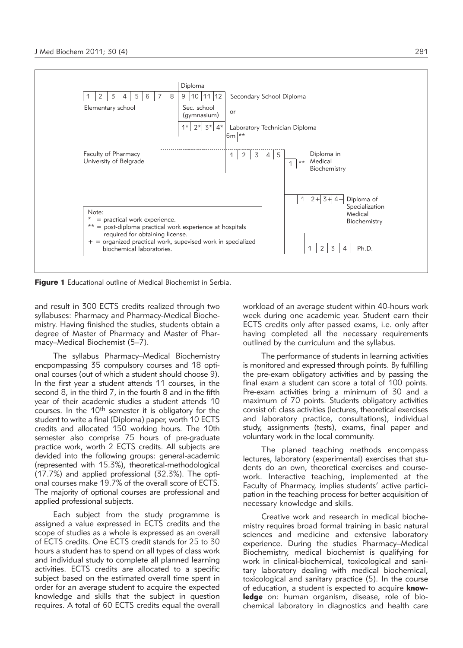

Figure 1 Educational outline of Medical Biochemist in Serbia.

and result in 300 ECTS credits realized through two syllabuses: Pharmacy and Pharmacy-Medical Biochemistry. Having finished the studies, students obtain a degree of Master of Pharmacy and Master of Pharmacy–Medical Biochemist (5–7).

The syllabus Pharmacy–Medical Biochemistry encpompassing 35 compulsory courses and 18 optional courses (out of which a student should choose 9). In the first year a student attends 11 courses, in the second 8, in the third 7, in the fourth 8 and in the fifth year of their academic studies a student attends 10 courses. In the 10<sup>th</sup> semester it is obligatory for the student to write a final (Diploma) paper, worth 10 ECTS credits and allocated 150 working hours. The 10th semester also comprise 75 hours of pre-graduate practice work, worth 2 ECTS credits. All subjects are devided into the following groups: general-academic (represented with 15.3%), theoretical-methodological (17.7%) and applied professional (32.3%). The optional courses make 19.7% of the overall score of ECTS. The majority of optional courses are professional and applied professional subjects.

Each subject from the study programme is assigned a value expressed in ECTS credits and the scope of studies as a whole is expressed as an overall of ECTS credits. One ECTS credit stands for 25 to 30 hours a student has to spend on all types of class work and individual study to complete all planned learning activities. ECTS credits are allocated to a specific subject based on the estimated overall time spent in order for an average student to acquire the expected knowledge and skills that the subject in question requires. A total of 60 ECTS credits equal the overall

workload of an average student within 40-hours work week during one academic year. Student earn their ECTS credits only after passed exams, i.e. only after having completed all the necessary requirements outlined by the curriculum and the syllabus.

The performance of students in learning activities is monitored and expressed through points. By fulfilling the pre-exam obligatory activities and by passing the final exam a student can score a total of 100 points. Pre-exam activities bring a minimum of 30 and a maximum of 70 points. Students obligatory activities consist of: class activities (lectures, theoretical exercises and laboratory practice, consultations), individual study, assignments (tests), exams, final paper and voluntary work in the local community.

The planed teaching methods encompass lectures, laboratory (experimental) exercises that students do an own, theoretical exercises and coursework. Interactive teaching, implemented at the Faculty of Pharmacy, implies students' active participation in the teaching process for better acquisition of necessary knowledge and skills.

Creative work and research in medical biochemistry requires broad formal training in basic natural sciences and medicine and extensive laboratory experience. During the studies Pharmacy–Medical Biochemistry, medical biochemist is qualifying for work in clinical-biochemical, toxicological and sanitary laboratory dealing with medical biochemical, toxicological and sanitary practice (5). In the course of education, a student is expected to acquire **know**  ledge on: human organism, disease, role of biochemical laboratory in diagnostics and health care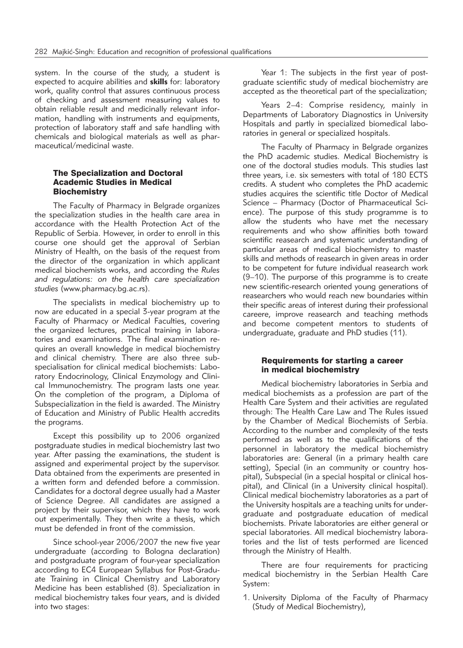system. In the course of the study, a student is expected to acquire abilities and **skills** for: laboratory work, quality control that assures continuous process of checking and assessment measuring values to obtain reliable result and medicinally relevant information, handling with instruments and equipments, protection of laboratory staff and safe handling with chemicals and biological materials as well as pharmaceutical/medicinal waste.

# The Specialization and Doctoral Academic Studies in Medical **Biochemistry**

The Faculty of Pharmacy in Belgrade organizes the specialization studies in the health care area in accordance with the Health Protection Act of the Republic of Serbia. However, in order to enroll in this course one should get the approval of Serbian Ministry of Health, on the basis of the request from the director of the organization in which applicant medical biochemists works, and according the *Rules and regulations: on the health care specialization studies* (www.pharmacy.bg.ac.rs).

The specialists in medical biochemistry up to now are educated in a special 3-year program at the Faculty of Pharmacy or Medical Faculties, covering the organized lectures, practical training in laboratories and examinations. The final examination requires an overall knowledge in medical biochemistry and clinical chemistry. There are also three subspecialisation for clinical medical biochemists: Laboratory Endocrinology, Clinical Enzymology and Clinical Immunochemistry. The program lasts one year. On the completion of the program, a Diploma of Subspecialization in the field is awarded. The Ministry of Education and Ministry of Public Health accredits the programs.

Except this possibility up to 2006 organized postgraduate studies in medical biochemistry last two year. After passing the examinations, the student is assigned and experimental project by the supervisor. Data obtained from the experiments are presented in a written form and defended before a commission. Candidates for a doctoral degree usually had a Master of Science Degree. All candidates are assigned a project by their supervisor, which they have to work out experimentally. They then write a thesis, which must be defended in front of the commission.

Since school-year 2006/2007 the new five year undergraduate (according to Bologna declaration) and postgraduate program of four-year specialization according to EC4 European Syllabus for Post-Graduate Training in Clinical Chemistry and Laboratory Medicine has been established (8). Specialization in medical biochemistry takes four years, and is divided into two stages:

Year 1: The subjects in the first year of postgraduate scientific study of medical biochemistry are accepted as the theoretical part of the specialization;

Years 2–4: Comprise residency, mainly in Departments of Laboratory Diagnostics in University Hospitals and partly in specialized biomedical laboratories in general or specialized hospitals.

The Faculty of Pharmacy in Belgrade organizes the PhD academic studies. Medical Biochemistry is one of the doctoral studies moduls. This studies last three years, i.e. six semesters with total of 180 ECTS credits. A student who completes the PhD academic studies acquires the scientific title Doctor of Medical Science – Pharmacy (Doctor of Pharmaceutical Science). The purpose of this study programme is to allow the students who have met the necessary requirements and who show affinities both toward scientific reasearch and systematic understanding of particular areas of medical biochemistry to master skills and methods of reasearch in given areas in order to be competent for future individual reasearch work (9–10). The purporse of this programme is to create new scientific-research oriented young generations of reasearchers who would reach new boundaries within their specific areas of interest during their professional careere, improve reasearch and teaching methods and become competent mentors to students of undergraduate, graduate and PhD studies (11).

# Requirements for starting a career in medical biochemistry

Medical biochemistry laboratories in Serbia and medical biochemists as a profession are part of the Health Care System and their activities are regulated through: The Health Care Law and The Rules issued by the Chamber of Medical Biochemists of Serbia. According to the number and complexity of the tests performed as well as to the qualifications of the personnel in laboratory the medical biochemistry laboratories are: General (in a primary health care setting), Special (in an community or country hospital), Subspecial (in a special hospital or clinical hospital), and Clinical (in a University clinical hospital). Clinical medical biochemistry laboratories as a part of the University hospitals are a teaching units for undergraduate and postgraduate education of medical biochemists. Private laboratories are either general or special laboratories. All medical biochemistry laboratories and the list of tests performed are licenced through the Ministry of Health.

There are four requirements for practicing medical biochemistry in the Serbian Health Care System:

1. University Diploma of the Faculty of Pharmacy (Study of Medical Biochemistry),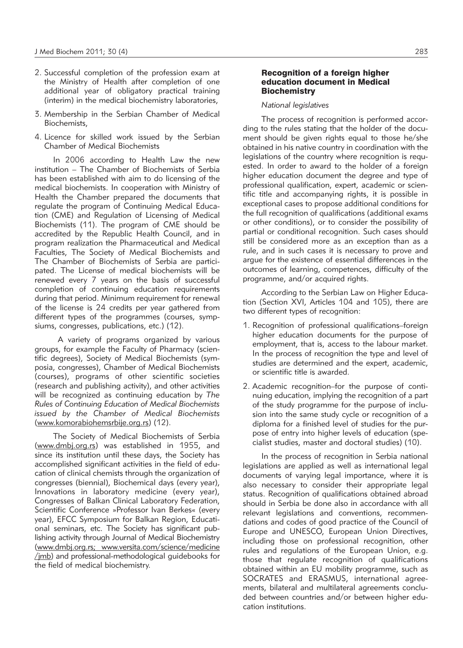- 2. Successful completion of the profession exam at the Ministry of Health after completion of one additional year of obligatory practical training (interim) in the medical biochemistry laboratories,
- 3. Membership in the Serbian Chamber of Medical Biochemists,
- 4. Licence for skilled work issued by the Serbian Chamber of Medical Biochemists

In 2006 according to Health Law the new institution – The Chamber of Biochemists of Serbia has been established with aim to do licensing of the medical biochemists. In cooperation with Ministry of Health the Chamber prepared the documents that regulate the program of Continuing Medical Education (CME) and Regulation of Licensing of Medical Biochemists (11). The program of CME should be accredited by the Republic Health Council, and in program realization the Pharmaceutical and Medical Faculties, The Society of Medical Biochemists and The Chamber of Biochemists of Serbia are participated. The License of medical biochemists will be renewed every 7 years on the basis of successful completion of continuing education requirements during that period. Minimum requirement for renewal of the license is 24 credits per year gathered from different types of the programmes (courses, sympsiums, congresses, publications, etc.) (12).

A variety of programs organized by various groups, for example the Faculty of Pharmacy (scientific degrees), Society of Medical Biochemists (symposia, congresses), Chamber of Medical Biochemists (courses), programs of other scientific societies (research and publishing activity), and other activities will be recognized as continuing education by *The Rules of Continuing Education of Medical Biochemists issued by the Chamber of Medical Biochemists* (www.komorabiohemsrbije.org.rs) (12).

The Society of Medical Biochemists of Serbia (www.dmbj.org.rs) was established in 1955, and since its institution until these days, the Society has accomplished significant activities in the field of education of clinical chemists through the organization of congresses (biennial), Biochemical days (every year), Innovations in laboratory medicine (every year), Congresses of Balkan Clinical Laboratory Federation, Scientific Conference »Professor Ivan Berkes« (every year), EFCC Symposium for Balkan Region, Educational seminars, etc. The Society has significant publishing activity through Journal of Medical Biochemistry (www.dmbj.org.rs; www.versita.com/science/medicine  $\langle$ imb) and professional-methodological guidebooks for the field of medical biochemistry.

#### Recognition of a foreign higher education document in Medical **Biochemistry**

#### *National legislatives*

The process of recognition is performed according to the rules stating that the holder of the document should be given rights equal to those he/she obtained in his native country in coordination with the legislations of the country where recognition is requested. In order to award to the holder of a foreign higher education document the degree and type of professional qualification, expert, academic or scientific title and accompanying rights, it is possible in exceptional cases to propose additional conditions for the full recognition of qualifications (additional exams or other conditions), or to consider the possibility of partial or conditional recognition. Such cases should still be considered more as an exception than as a rule, and in such cases it is necessary to prove and argue for the existence of essential differences in the outcomes of learning, competences, difficulty of the programme, and/or acquired rights.

According to the Serbian Law on Higher Education (Section XVI, Articles 104 and 105), there are two different types of recognition:

- 1. Recognition of professional qualifications–foreign higher education documents for the purpose of employment, that is, access to the labour market. In the process of recognition the type and level of studies are determined and the expert, academic, or scientific title is awarded.
- 2. Academic recognition–for the purpose of continuing education, implying the recognition of a part of the study programme for the purpose of inclusion into the same study cycle or recognition of a diploma for a finished level of studies for the purpose of entry into higher levels of education (specialist studies, master and doctoral studies) (10).

In the process of recognition in Serbia national legislations are applied as well as international legal documents of varying legal importance, where it is also necessary to consider their appropriate legal status. Recognition of qualifications obtained abroad should in Serbia be done also in accordance with all relevant legislations and conventions, recommendations and codes of good practice of the Council of Europe and UNESCO, European Union Directives, including those on professional recognition, other rules and regulations of the European Union, e.g. those that regulate recognition of qualifications obtained within an EU mobility programme, such as SOCRATES and ERASMUS, international agreements, bilateral and multilateral agreements concluded between countries and/or between higher education institutions.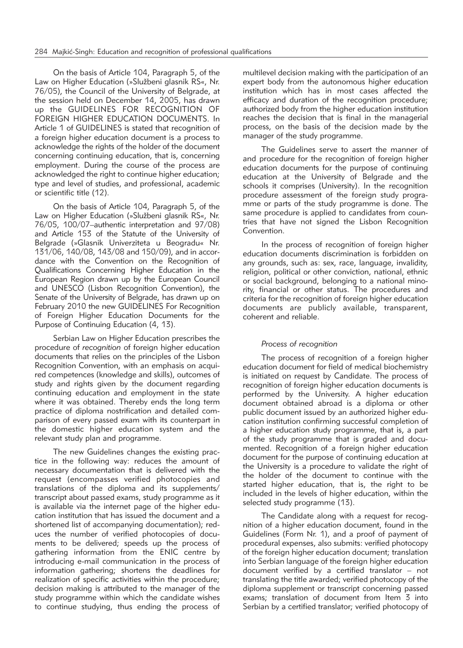On the basis of Article 104, Paragraph 5, of the Law on Higher Education (»Službeni glasnik RS«, Nr. 76/05), the Council of the University of Belgrade, at the session held on December 14, 2005, has drawn up the GUIDELINES FOR RECOGNITION OF FOREIGN HIGHER EDUCATION DOCUMENTS. In Article 1 of GUIDELINES is stated that recognition of a foreign higher education document is a process to acknowledge the rights of the holder of the document concerning continuing education, that is, concerning employment. During the course of the process are acknowledged the right to continue higher education; type and level of studies, and professional, academic or scientific title (12).

On the basis of Article 104, Paragraph 5, of the Law on Higher Education (»Službeni glasnik RS«, Nr. 76/05, 100/07–authentic interpretation and 97/08) and Article 153 of the Statute of the University of Belgrade (»Glasnik Univerziteta u Beogradu« Nr. 131/06, 140/08, 143/08 and 150/09), and in accordance with the Convention on the Recognition of Qualifications Concerning Higher Education in the European Region drawn up by the European Council and UNESCO (Lisbon Recognition Convention), the Senate of the University of Belgrade, has drawn up on February 2010 the new GUIDELINES For Recognition of Foreign Higher Education Documents for the Purpose of Continuing Education (4, 13).

Serbian Law on Higher Education prescribes the procedure of *recognition* of foreign higher education documents that relies on the principles of the Lisbon Recognition Convention, with an emphasis on acquired competences (knowledge and skills), outcomes of study and rights given by the document regarding continuing education and employment in the state where it was obtained. Thereby ends the long term practice of diploma nostrification and detailed comparison of every passed exam with its counterpart in the domestic higher education system and the relevant study plan and programme.

The new Guidelines changes the existing practice in the following way: reduces the amount of necessary documentation that is delivered with the request (encompasses verified photocopies and translations of the diploma and its supplements/ transcript about passed exams, study programme as it is available via the internet page of the higher education institution that has issued the document and a shortened list of accompanying documentation); reduces the number of verified photocopies of documents to be delivered; speeds up the process of gathering information from the ENIC centre by introducing e-mail communication in the process of information gathering; shortens the deadlines for realization of specific activities within the procedure; decision making is attributed to the manager of the study programme within which the candidate wishes to continue studying, thus ending the process of

multilevel decision making with the participation of an expert body from the autonomous higher education institution which has in most cases affected the efficacy and duration of the recognition procedure; authorized body from the higher education institution reaches the decision that is final in the managerial process, on the basis of the decision made by the manager of the study programme.

The Guidelines serve to assert the manner of and procedure for the recognition of foreign higher education documents for the purpose of continuing education at the University of Belgrade and the schools it comprises (University). In the recognition procedure assessment of the foreign study programme or parts of the study programme is done. The same procedure is applied to candidates from countries that have not signed the Lisbon Recognition Convention.

In the process of recognition of foreign higher education documents discrimination is forbidden on any grounds, such as: sex, race, language, invalidity, religion, political or other conviction, national, ethnic or social background, belonging to a national minority, financial or other status. The procedures and criteria for the recognition of foreign higher education documents are publicly available, transparent, coherent and reliable.

#### *Process of recognition*

The process of recognition of a foreign higher education document for field of medical biochemistry is initiated on request by Candidate. The process of recognition of foreign higher education documents is performed by the University. A higher education docu ment obtained abroad is a diploma or other public document issued by an authorized higher education institution confirming successful completion of a higher education study programme, that is, a part of the study programme that is graded and documented. Recognition of a foreign higher education document for the purpose of continuing education at the University is a procedure to validate the right of the holder of the document to continue with the started higher education, that is, the right to be included in the levels of higher education, within the selected study programme (13).

The Candidate along with a request for recognition of a higher education document, found in the Guidelines (Form Nr. 1), and a proof of payment of procedural expenses, also submits: verified photocopy of the foreign higher education document; translation into Serbian language of the foreign higher education document verified by a certified translator – not translating the title awarded; verified photocopy of the diploma supplement or transcript concerning passed exams; translation of document from Item 3 into Serbian by a certified translator; verified photocopy of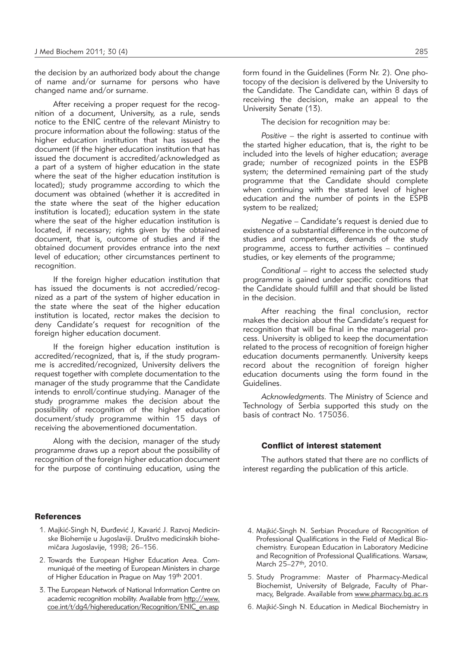the decision by an authorized body about the change of name and/or surname for persons who have changed name and/or surname.

After receiving a proper request for the recognition of a document, University, as a rule, sends notice to the ENIC centre of the relevant Ministry to procure information about the following: status of the higher education institution that has issued the document (if the higher education institution that has issued the document is accredited/acknowledged as a part of a system of higher education in the state where the seat of the higher education institution is located); study programme according to which the document was obtained (whether it is accredited in the state where the seat of the higher education institution is located); education system in the state where the seat of the higher education institution is located, if necessary; rights given by the obtained document, that is, outcome of studies and if the obtained document provides entrance into the next level of education; other circumstances pertinent to recognition.

If the foreign higher education institution that has issued the documents is not accredied/recognized as a part of the system of higher education in the state where the seat of the higher education institution is located, rector makes the decision to deny Candidate's request for recognition of the foreign higher education document.

If the foreign higher education institution is accredited/recognized, that is, if the study programme is accredited/recognized, University delivers the request together with complete documentation to the manager of the study programme that the Candidate intends to enroll/continue studying. Manager of the study programme makes the decision about the possibility of recognition of the higher education docu ment/study programme within 15 days of receiving the abovementioned documentation.

Along with the decision, manager of the study programme draws up a report about the possibility of recognition of the foreign higher education document for the purpose of continuing education, using the

form found in the Guidelines (Form Nr. 2). One photocopy of the decision is delivered by the University to the Candidate. The Candidate can, within 8 days of receiving the decision, make an appeal to the University Senate (13).

The decision for recognition may be:

*Positive* – the right is asserted to continue with the started higher education, that is, the right to be included into the levels of higher education; average grade; number of recognized points in the ESPB system; the determined remaining part of the study programme that the Candidate should complete when continuing with the started level of higher education and the number of points in the ESPB system to be realized;

*Negative* – Candidate's request is denied due to existence of a substantial difference in the outcome of studies and competences, demands of the study programme, access to further activities – continued studies, or key elements of the programme;

*Conditional* – right to access the selected study programme is gained under specific conditions that the Candidate should fulfill and that should be listed in the decision.

After reaching the final conclusion, rector makes the decision about the Candidate's request for recognition that will be final in the managerial process. University is obliged to keep the documentation related to the process of recognition of foreign higher education documents permanently. University keeps record about the recognition of foreign higher education documents using the form found in the Guidelines.

*Acknowledgments.* The Ministry of Science and Technology of Serbia supported this study on the basis of contract No. 175036.

### Conflict of interest statement

The authors stated that there are no conflicts of interest regarding the publication of this article.

#### **References**

- 1. Majkić-Singh N, Đurđević J, Kavarić J. Razvoj Medicinske Biohemije u Jugoslaviji. Društvo medicinskih biohemičara Jugoslavije, 1998; 26-156.
- 2. Towards the European Higher Education Area. Communiqué of the meeting of European Ministers in charge of Higher Education in Prague on May 19th 2001.
- 3. The European Network of National Information Centre on academic recognition mobility. Available from http://www. coe.int/t/dg4/highereducation/Recognition/ENIC\_en.asp
- 4. Majkić-Singh N. Serbian Procedure of Recognition of Professional Qualifications in the Field of Medical Biochemistry. European Education in Laboratory Medicine and Recognition of Professional Qualifications. Warsaw, March 25–27th, 2010.
- 5. Study Programme: Master of Pharmacy-Medical Biochemist, University of Belgrade, Faculty of Pharmacy, Belgrade. Available from www.pharmacy.bg.ac.rs
- 6. Majkić-Singh N. Education in Medical Biochemistry in